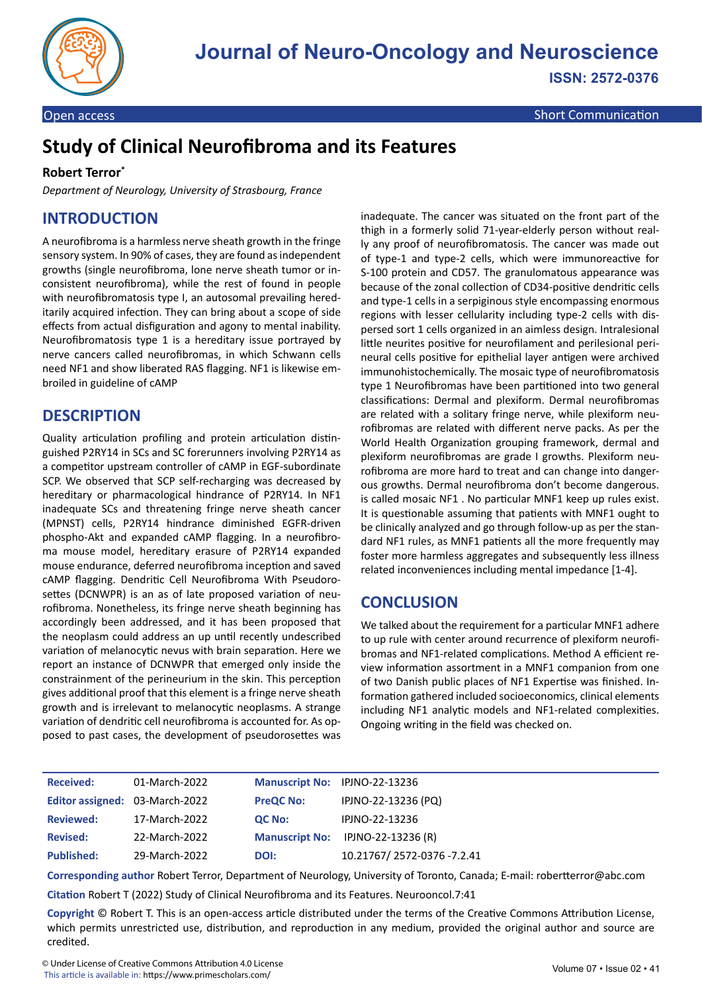

Open access Short Communication and Communication Communication and Communication

# **Study of Clinical Neurofibroma and its Features**

#### **Robert Terror\***

*Department of Neurology, University of Strasbourg, France*

#### **INTRODUCTION**

A neurofibroma is a harmless nerve sheath growth in the fringe sensory system. In 90% of cases, they are found as independent growths (single neurofibroma, lone nerve sheath tumor or inconsistent neurofibroma), while the rest of found in people with neurofibromatosis type I, an autosomal prevailing hereditarily acquired infection. They can bring about a scope of side effects from actual disfiguration and agony to mental inability. Neurofibromatosis type 1 is a hereditary issue portrayed by nerve cancers called neurofibromas, in which Schwann cells need NF1 and show liberated RAS flagging. NF1 is likewise embroiled in guideline of cAMP

#### **DESCRIPTION**

Quality articulation profiling and protein articulation distinguished P2RY14 in SCs and SC forerunners involving P2RY14 as a competitor upstream controller of cAMP in EGF-subordinate SCP. We observed that SCP self-recharging was decreased by hereditary or pharmacological hindrance of P2RY14. In NF1 inadequate SCs and threatening fringe nerve sheath cancer (MPNST) cells, P2RY14 hindrance diminished EGFR-driven phospho-Akt and expanded cAMP flagging. In a neurofibroma mouse model, hereditary erasure of P2RY14 expanded mouse endurance, deferred neurofibroma inception and saved cAMP flagging. Dendritic Cell Neurofibroma With Pseudorosettes (DCNWPR) is an as of late proposed variation of neurofibroma. Nonetheless, its fringe nerve sheath beginning has accordingly been addressed, and it has been proposed that the neoplasm could address an up until recently undescribed variation of melanocytic nevus with brain separation. Here we report an instance of DCNWPR that emerged only inside the constrainment of the perineurium in the skin. This perception gives additional proof that this element is a fringe nerve sheath growth and is irrelevant to melanocytic neoplasms. A strange variation of dendritic cell neurofibroma is accounted for. As opposed to past cases, the development of pseudorosettes was

inadequate. The cancer was situated on the front part of the thigh in a formerly solid 71-year-elderly person without really any proof of neurofibromatosis. The cancer was made out of type-1 and type-2 cells, which were immunoreactive for S-100 protein and CD57. The granulomatous appearance was because of the zonal collection of CD34-positive dendritic cells and type-1 cells in a serpiginous style encompassing enormous regions with lesser cellularity including type-2 cells with dispersed sort 1 cells organized in an aimless design. Intralesional little neurites positive for neurofilament and perilesional perineural cells positive for epithelial layer antigen were archived immunohistochemically. The mosaic type of neurofibromatosis type 1 Neurofibromas have been partitioned into two general classifications: Dermal and plexiform. Dermal neurofibromas are related with a solitary fringe nerve, while plexiform neurofibromas are related with different nerve packs. As per the World Health Organization grouping framework, dermal and plexiform neurofibromas are grade I growths. Plexiform neurofibroma are more hard to treat and can change into dangerous growths. Dermal neurofibroma don't become dangerous. is called mosaic NF1 . No particular MNF1 keep up rules exist. It is questionable assuming that patients with MNF1 ought to be clinically analyzed and go through follow-up as per the standard NF1 rules, as MNF1 patients all the more frequently may foster more harmless aggregates and subsequently less illness related inconveniences including mental impedance [1-4].

## **CONCLUSION**

We talked about the requirement for a particular MNF1 adhere to up rule with center around recurrence of plexiform neurofibromas and NF1-related complications. Method A efficient review information assortment in a MNF1 companion from one of two Danish public places of NF1 Expertise was finished. Information gathered included socioeconomics, clinical elements including NF1 analytic models and NF1-related complexities. Ongoing writing in the field was checked on.

| <b>Received:</b>               | 01-March-2022 | Manuscript No: IPJNO-22-13236 |                                   |
|--------------------------------|---------------|-------------------------------|-----------------------------------|
| Editor assigned: 03-March-2022 |               | <b>PreQC No:</b>              | IPJNO-22-13236 (PQ)               |
| <b>Reviewed:</b>               | 17-March-2022 | <b>QC No:</b>                 | IPJNO-22-13236                    |
| <b>Revised:</b>                | 22-March-2022 |                               | Manuscript No: IPJNO-22-13236 (R) |
| <b>Published:</b>              | 29-March-2022 | DOI:                          | 10.21767/2572-0376 -7.2.41        |

**Corresponding author** Robert Terror, Department of Neurology, University of Toronto, Canada; E-mail: robertterror@abc.com

**Citation** Robert T (2022) Study of Clinical Neurofibroma and its Features. Neurooncol.7:41

**Copyright** © Robert T. This is an open-access article distributed under the terms of the Creative Commons Attribution License, which permits unrestricted use, distribution, and reproduction in any medium, provided the original author and source are credited.